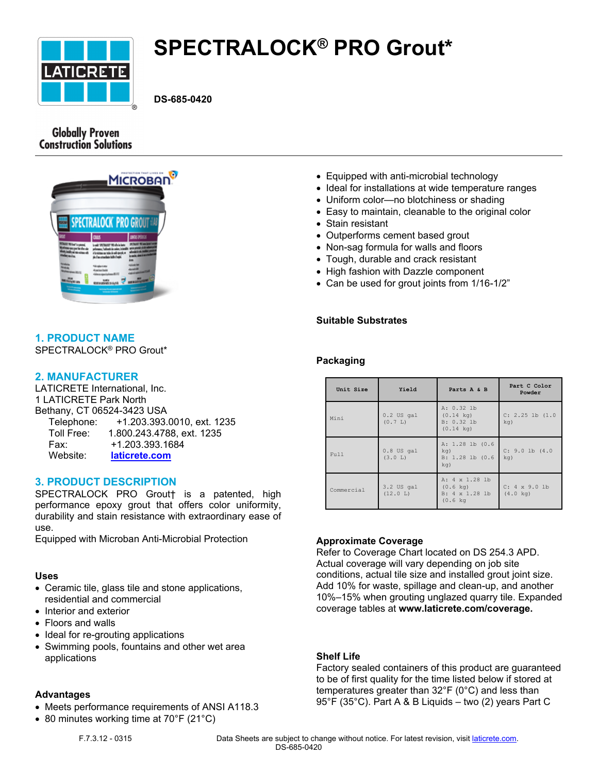

# **SPECTRALOCK® PRO Grout\***

**DS-685-0420**

# **Globally Proven Construction Solutions**



# **1. PRODUCT NAME**

SPECTRALOCK® PRO Grout\*

# **2. MANUFACTURER**

LATICRETE International, Inc. 1 LATICRETE Park North Bethany, CT 06524-3423 USA Telephone: +1.203.393.0010, ext. 1235 Toll Free: 1.800.243.4788, ext. 1235 Fax: +1.203.393.1684 Website: **[laticrete.com](https://laticrete.com/)**

# **3. PRODUCT DESCRIPTION**

SPECTRALOCK PRO Grout† is a patented, high performance epoxy grout that offers color uniformity, durability and stain resistance with extraordinary ease of use.

Equipped with Microban Anti-Microbial Protection

# **Uses**

- Ceramic tile, glass tile and stone applications, residential and commercial
- Interior and exterior
- Floors and walls
- Ideal for re-grouting applications
- Swimming pools, fountains and other wet area applications

# **Advantages**

- Meets performance requirements of ANSI A118.3
- 80 minutes working time at 70°F (21°C)
- Equipped with anti-microbial technology
- Ideal for installations at wide temperature ranges
- Uniform color—no blotchiness or shading
- Easy to maintain, cleanable to the original color
- Stain resistant
- Outperforms cement based grout
- Non-sag formula for walls and floors
- Tough, durable and crack resistant
- High fashion with Dazzle component
- Can be used for grout joints from 1/16-1/2"

## **Suitable Substrates**

# **Packaging**

| Unit Size  | Yield                     | Parts A & B                                                                  | Part C Color<br>Powder                     |
|------------|---------------------------|------------------------------------------------------------------------------|--------------------------------------------|
| Mini       | $0.2$ US $qal$<br>(0.7 L) | A: 0.32 lb<br>$(0.14 \text{ kg})$<br>B: 0.32 lb<br>$(0.14 \text{ kg})$       | C: 2.25 lb (1.0)<br>$kq$ )                 |
| Full       | $0.8$ US gal<br>(3.0 L)   | A: 1.28 lb (0.6<br>$kq$ )<br>$B: 1.28$ lb $(0.6)$<br>kq)                     | $C: 9.0$ lb $(4.0)$<br>$kq$ )              |
| Commercial | 3.2 US gal<br>(12.0 L)    | A: 4 x 1.28 lb<br>$(0.6 \text{ kg})$<br>B: 4 x 1.28 lb<br>$(0.6 \text{ kg})$ | $C: 4 \times 9.0$ lb<br>$(4.0 \text{ kg})$ |

#### **Approximate Coverage**

Refer to Coverage Chart located on DS 254.3 APD. Actual coverage will vary depending on job site conditions, actual tile size and installed grout joint size. Add 10% for waste, spillage and clean-up, and another 10%–15% when grouting unglazed quarry tile. Expanded coverage tables at **www.laticrete.com/coverage.**

#### **Shelf Life**

Factory sealed containers of this product are guaranteed to be of first quality for the time listed below if stored at temperatures greater than 32°F (0°C) and less than 95°F (35°C). Part A & B Liquids – two (2) years Part C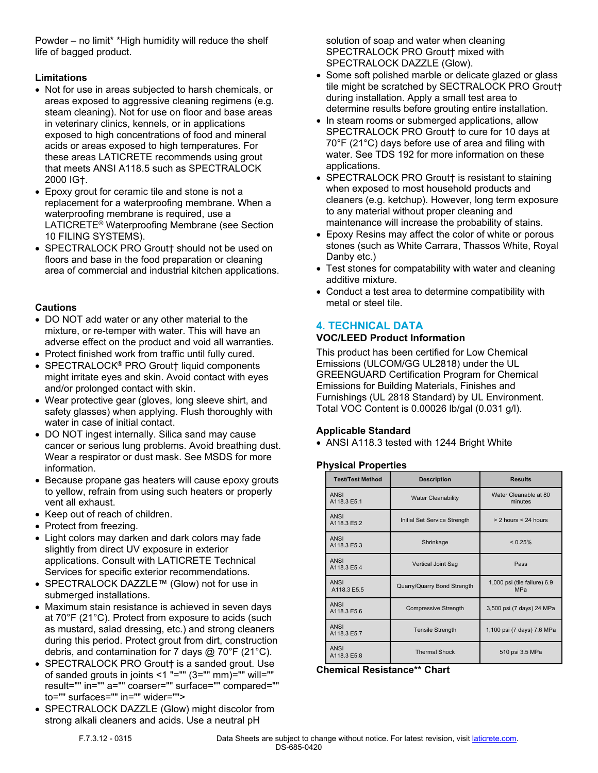Powder – no limit\* \*High humidity will reduce the shelf life of bagged product.

# **Limitations**

- Not for use in areas subjected to harsh chemicals, or areas exposed to aggressive cleaning regimens (e.g. steam cleaning). Not for use on floor and base areas in veterinary clinics, kennels, or in applications exposed to high concentrations of food and mineral acids or areas exposed to high temperatures. For these areas LATICRETE recommends using grout that meets ANSI A118.5 such as SPECTRALOCK 2000 IG†.
- Epoxy grout for ceramic tile and stone is not a replacement for a waterproofing membrane. When a waterproofing membrane is required, use a LATICRETE® Waterproofing Membrane (see Section 10 FILING SYSTEMS).
- SPECTRALOCK PRO Grout† should not be used on floors and base in the food preparation or cleaning area of commercial and industrial kitchen applications.

# **Cautions**

- DO NOT add water or any other material to the mixture, or re-temper with water. This will have an adverse effect on the product and void all warranties.
- Protect finished work from traffic until fully cured.
- SPECTRALOCK® PRO Grout† liquid components might irritate eyes and skin. Avoid contact with eyes and/or prolonged contact with skin.
- Wear protective gear (gloves, long sleeve shirt, and safety glasses) when applying. Flush thoroughly with water in case of initial contact.
- DO NOT ingest internally. Silica sand may cause cancer or serious lung problems. Avoid breathing dust. Wear a respirator or dust mask. See MSDS for more information.
- Because propane gas heaters will cause epoxy grouts to yellow, refrain from using such heaters or properly vent all exhaust.
- Keep out of reach of children.
- Protect from freezing.
- Light colors may darken and dark colors may fade slightly from direct UV exposure in exterior applications. Consult with LATICRETE Technical Services for specific exterior recommendations.
- SPECTRALOCK DAZZLE™ (Glow) not for use in submerged installations.
- Maximum stain resistance is achieved in seven days at 70°F (21°C). Protect from exposure to acids (such as mustard, salad dressing, etc.) and strong cleaners during this period. Protect grout from dirt, construction debris, and contamination for 7 days  $@$  70°F (21°C).
- SPECTRALOCK PRO Grout† is a sanded grout. Use of sanded grouts in joints <1 "=""  $(3=$ "" mm)="" will="" result="" in="" a="" coarser="" surface="" compared="" to="" surfaces="" in="" wider="">
- SPECTRALOCK DAZZLE (Glow) might discolor from strong alkali cleaners and acids. Use a neutral pH

solution of soap and water when cleaning SPECTRALOCK PRO Grout† mixed with SPECTRALOCK DAZZLE (Glow).

- Some soft polished marble or delicate glazed or glass tile might be scratched by SECTRALOCK PRO Grout† during installation. Apply a small test area to determine results before grouting entire installation.
- In steam rooms or submerged applications, allow SPECTRALOCK PRO Grout† to cure for 10 days at 70°F (21°C) days before use of area and filing with water. See TDS 192 for more information on these applications.
- SPECTRALOCK PRO Grout† is resistant to staining when exposed to most household products and cleaners (e.g. ketchup). However, long term exposure to any material without proper cleaning and maintenance will increase the probability of stains.
- Epoxy Resins may affect the color of white or porous stones (such as White Carrara, Thassos White, Royal Danby etc.)
- Test stones for compatability with water and cleaning additive mixture.
- Conduct a test area to determine compatibility with metal or steel tile.

# **4. TECHNICAL DATA**

# **VOC/LEED Product Information**

This product has been certified for Low Chemical Emissions (ULCOM/GG UL2818) under the UL GREENGUARD Certification Program for Chemical Emissions for Building Materials, Finishes and Furnishings (UL 2818 Standard) by UL Environment. Total VOC Content is 0.00026 lb/gal (0.031 g/l).

# **Applicable Standard**

• ANSI A118.3 tested with 1244 Bright White

# **Physical Properties**

| <b>Test/Test Method</b>    | <b>Description</b>           | <b>Results</b>                      |  |
|----------------------------|------------------------------|-------------------------------------|--|
| <b>ANSI</b><br>A118.3 E5.1 | <b>Water Cleanability</b>    | Water Cleanable at 80<br>minutes    |  |
| <b>ANSI</b><br>A118.3 E5.2 | Initial Set Service Strength | $> 2$ hours $< 24$ hours            |  |
| <b>ANSI</b><br>A118.3 E5.3 | Shrinkage                    | < 0.25%                             |  |
| <b>ANSI</b><br>A118.3 E5.4 | Vertical Joint Sag           | Pass                                |  |
| <b>ANSI</b><br>A118.3 E5.5 | Quarry/Quarry Bond Strength  | 1,000 psi (tile failure) 6.9<br>MPa |  |
| <b>ANSI</b><br>A118.3 E5.6 | <b>Compressive Strength</b>  | 3,500 psi (7 days) 24 MPa           |  |
| <b>ANSI</b><br>A118.3 E5.7 | <b>Tensile Strength</b>      | 1,100 psi (7 days) 7.6 MPa          |  |
| <b>ANSI</b><br>A118.3 E5.8 | <b>Thermal Shock</b>         | 510 psi 3.5 MPa                     |  |

**Chemical Resistance\*\* Chart**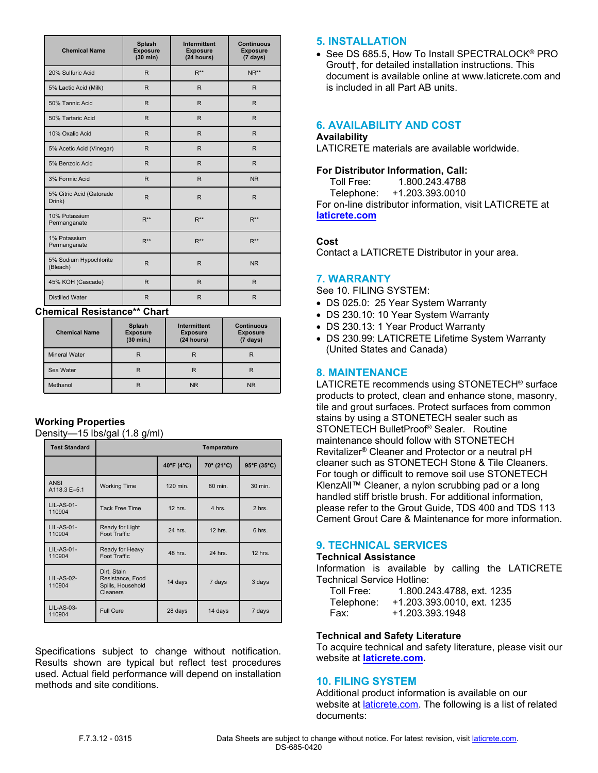| <b>Chemical Name</b>               | <b>Splash</b><br><b>Exposure</b><br>$(30 \text{ min})$ | <b>Intermittent</b><br><b>Exposure</b><br>(24 hours) | <b>Continuous</b><br><b>Exposure</b><br>$(7 \text{ days})$ |
|------------------------------------|--------------------------------------------------------|------------------------------------------------------|------------------------------------------------------------|
| 20% Sulfuric Acid                  | $\mathsf{R}$                                           | $R^{**}$                                             | $NR**$                                                     |
| 5% Lactic Acid (Milk)              | $\mathsf{R}$                                           | $\mathsf{R}$                                         | $\mathsf{R}$                                               |
| 50% Tannic Acid                    | $\mathsf{R}$                                           | $\mathsf{R}$                                         | $\mathsf{R}$                                               |
| 50% Tartaric Acid                  | $\mathsf{R}$                                           | $\mathsf{R}$                                         | R                                                          |
| 10% Oxalic Acid                    | $\mathsf{R}$                                           | $\mathsf{R}$                                         | R                                                          |
| 5% Acetic Acid (Vinegar)           | R                                                      | $\mathsf{R}$                                         | R                                                          |
| 5% Benzoic Acid                    | R                                                      | $\mathsf{R}$                                         | R                                                          |
| 3% Formic Acid                     | R                                                      | R                                                    | <b>NR</b>                                                  |
| 5% Citric Acid (Gatorade<br>Drink) | R                                                      | $\mathsf{R}$                                         | R                                                          |
| 10% Potassium<br>Permanganate      | $R^{**}$                                               | $R^{**}$                                             | $R^{**}$                                                   |
| 1% Potassium<br>Permanganate       | $R^{**}$                                               | $R^{**}$                                             | $R^{**}$                                                   |
| 5% Sodium Hypochlorite<br>(Bleach) | $\mathsf{R}$                                           | $\mathsf{R}$                                         | <b>NR</b>                                                  |
| 45% KOH (Cascade)                  | $\mathsf{R}$                                           | $\mathsf{R}$                                         | $\mathsf{R}$                                               |
| <b>Distilled Water</b>             | $\mathsf{R}$                                           | $\mathsf{R}$                                         | $\mathsf{R}$                                               |

## **Chemical Resistance\*\* Chart**

| <b>Chemical Name</b> | Splash<br><b>Exposure</b><br>$(30 \text{ min.})$ | Intermittent<br><b>Exposure</b><br>(24 hours) | <b>Continuous</b><br><b>Exposure</b><br>$(7 \text{ days})$ |
|----------------------|--------------------------------------------------|-----------------------------------------------|------------------------------------------------------------|
| <b>Mineral Water</b> | R                                                | R                                             | R                                                          |
| Sea Water            |                                                  | R                                             | R                                                          |
| Methanol             |                                                  | <b>NR</b>                                     | <b>NR</b>                                                  |

# **Working Properties**

Density—15 lbs/gal (1.8 g/ml)

| <b>Test Standard</b>        | Temperature                                                      |            |            |             |
|-----------------------------|------------------------------------------------------------------|------------|------------|-------------|
|                             |                                                                  | 40°F (4°C) | 70° (21°C) | 95°F (35°C) |
| <b>ANSI</b><br>A118.3 E-5.1 | <b>Working Time</b>                                              | 120 min.   | 80 min.    | 30 min.     |
| $LIL-AS-01-$<br>110904      | <b>Tack Free Time</b>                                            | $12$ hrs.  | 4 hrs.     | 2 hrs.      |
| $LIL-AS-01-$<br>110904      | Ready for Light<br>Foot Traffic                                  | 24 hrs.    | $12$ hrs.  | $6$ hrs.    |
| $LIL-AS-01-$<br>110904      | Ready for Heavy<br><b>Foot Traffic</b>                           | 48 hrs.    | 24 hrs.    | $12$ hrs.   |
| $LIL-AS-02-$<br>110904      | Dirt, Stain<br>Resistance, Food<br>Spills, Household<br>Cleaners | 14 days    | 7 days     | 3 days      |
| <b>LIL-AS-03-</b><br>110904 | <b>Full Cure</b>                                                 | 28 days    | 14 days    | 7 days      |

Specifications subject to change without notification. Results shown are typical but reflect test procedures used. Actual field performance will depend on installation methods and site conditions.

## **5. INSTALLATION**

• See DS 685.5, How To Install SPECTRALOCK<sup>®</sup> PRO Grout†, for detailed installation instructions. This document is available online at www.laticrete.com and is included in all Part AB units.

# **6. AVAILABILITY AND COST**

#### **Availability**

LATICRETE materials are available worldwide.

#### **For Distributor Information, Call:**

 Toll Free: 1.800.243.4788 Telephone: +1.203.393.0010

For on-line distributor information, visit LATICRETE at **[laticrete.com](https://laticrete.com/)**

## **Cost**

Contact a LATICRETE Distributor in your area.

# **7. WARRANTY**

See 10. FILING SYSTEM:

- DS 025.0: 25 Year System Warranty
- DS 230.10: 10 Year System Warranty
- DS 230.13: 1 Year Product Warranty
- DS 230.99: LATICRETE Lifetime System Warranty (United States and Canada)

## **8. MAINTENANCE**

LATICRETE recommends using STONETECH® surface products to protect, clean and enhance stone, masonry, tile and grout surfaces. Protect surfaces from common stains by using a STONETECH sealer such as STONETECH BulletProof® Sealer. Routine maintenance should follow with STONETECH Revitalizer® Cleaner and Protector or a neutral pH cleaner such as STONETECH Stone & Tile Cleaners. For tough or difficult to remove soil use STONETECH KlenzAll™ Cleaner, a nylon scrubbing pad or a long handled stiff bristle brush. For additional information, please refer to the Grout Guide, TDS 400 and TDS 113 Cement Grout Care & Maintenance for more information.

# **9. TECHNICAL SERVICES**

#### **Technical Assistance**

Information is available by calling the LATICRETE Technical Service Hotline:

 Toll Free: 1.800.243.4788, ext. 1235 Telephone: +1.203.393.0010, ext. 1235 Fax: +1.203.393.1948

# **Technical and Safety Literature**

To acquire technical and safety literature, please visit our website at **[laticrete.com](https://laticrete.com/).**

# **10. FILING SYSTEM**

Additional product information is available on our website at *[laticrete.com](https://laticrete.com/).* The following is a list of related documents: